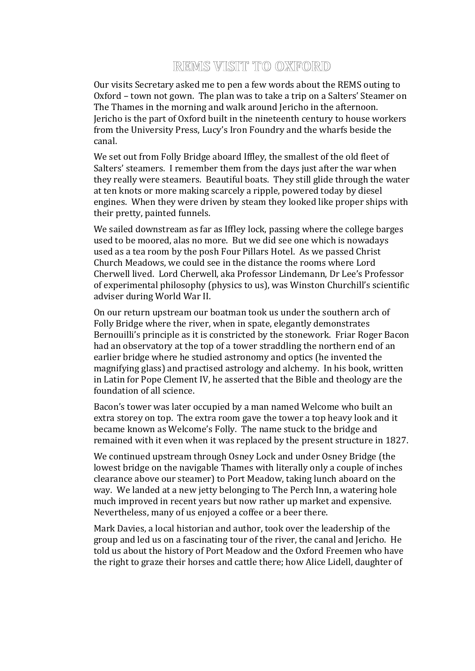## REMS VISIT TO OXFORD

Our visits Secretary asked me to pen a few words about the REMS outing to Oxford – town not gown. The plan was to take a trip on a Salters' Steamer on The Thames in the morning and walk around Jericho in the afternoon. Jericho is the part of Oxford built in the nineteenth century to house workers from the University Press, Lucy's Iron Foundry and the wharfs beside the canal.

We set out from Folly Bridge aboard Iffley, the smallest of the old fleet of Salters' steamers. I remember them from the days just after the war when they really were steamers. Beautiful boats. They still glide through the water at ten knots or more making scarcely a ripple, powered today by diesel engines. When they were driven by steam they looked like proper ships with their pretty, painted funnels.

We sailed downstream as far as Iffley lock, passing where the college barges used to be moored, alas no more. But we did see one which is nowadays used as a tea room by the posh Four Pillars Hotel. As we passed Christ Church Meadows, we could see in the distance the rooms where Lord Cherwell lived. Lord Cherwell, aka Professor Lindemann, Dr Lee's Professor of experimental philosophy (physics to us), was Winston Churchill's scientific adviser during World War II.

On our return upstream our boatman took us under the southern arch of Folly Bridge where the river, when in spate, elegantly demonstrates Bernouilli's principle as it is constricted by the stonework. Friar Roger Bacon had an observatory at the top of a tower straddling the northern end of an earlier bridge where he studied astronomy and optics (he invented the magnifying glass) and practised astrology and alchemy. In his book, written in Latin for Pope Clement IV, he asserted that the Bible and theology are the foundation of all science.

Bacon's tower was later occupied by a man named Welcome who built an extra storey on top. The extra room gave the tower a top heavy look and it became known as Welcome's Folly. The name stuck to the bridge and remained with it even when it was replaced by the present structure in 1827.

We continued upstream through Osney Lock and under Osney Bridge (the lowest bridge on the navigable Thames with literally only a couple of inches clearance above our steamer) to Port Meadow, taking lunch aboard on the way. We landed at a new jetty belonging to The Perch Inn, a watering hole much improved in recent years but now rather up market and expensive. Nevertheless, many of us enjoyed a coffee or a beer there.

Mark Davies, a local historian and author, took over the leadership of the group and led us on a fascinating tour of the river, the canal and Jericho. He told us about the history of Port Meadow and the Oxford Freemen who have the right to graze their horses and cattle there; how Alice Lidell, daughter of